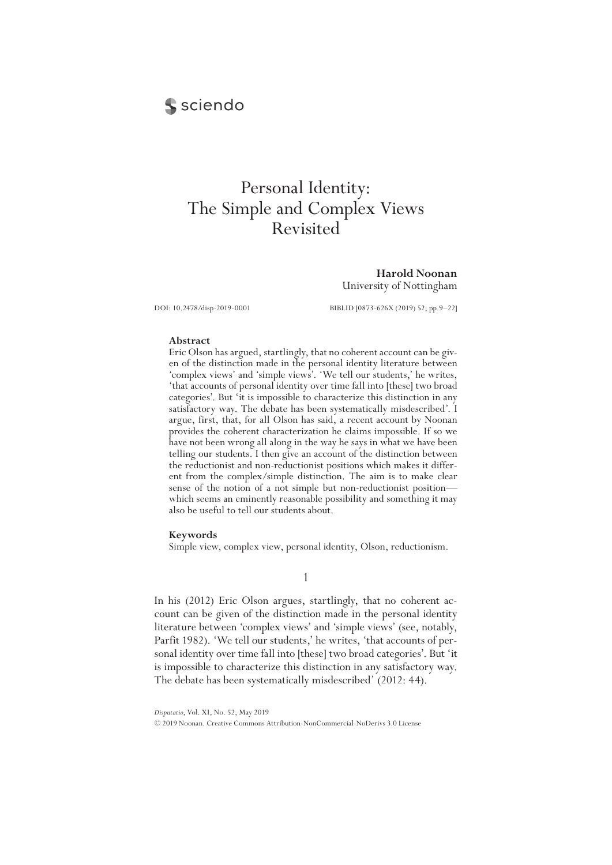# **S** sciendo

# Personal Identity: The Simple and Complex Views Revisited

**Harold Noonan** University of Nottingham

DOI: 10.2478/disp-2019-0001 BIBLID [0873-626X (2019) 52; pp.9–22]

#### **Abstract**

Eric Olson has argued, startlingly, that no coherent account can be given of the distinction made in the personal identity literature between 'complex views' and 'simple views'. 'We tell our students,' he writes, 'that accounts of personal identity over time fall into [these] two broad categories'. But 'it is impossible to characterize this distinction in any satisfactory way. The debate has been systematically misdescribed'. I argue, first, that, for all Olson has said, a recent account by Noonan provides the coherent characterization he claims impossible. If so we have not been wrong all along in the way he says in what we have been telling our students. I then give an account of the distinction between the reductionist and non-reductionist positions which makes it different from the complex/simple distinction. The aim is to make clear sense of the notion of a not simple but non-reductionist position which seems an eminently reasonable possibility and something it may also be useful to tell our students about.

#### **Keywords**

Simple view, complex view, personal identity, Olson, reductionism.

1

In his (2012) Eric Olson argues, startlingly, that no coherent account can be given of the distinction made in the personal identity literature between 'complex views' and 'simple views' (see, notably, Parfit 1982). 'We tell our students,' he writes, 'that accounts of personal identity over time fall into [these] two broad categories'. But 'it is impossible to characterize this distinction in any satisfactory way. The debate has been systematically misdescribed' (2012: 44).

*Disputatio*, Vol. XI, No. 52, May 2019

© 2019 Noonan. Creative Commons Attribution-NonCommercial-NoDerivs 3.0 License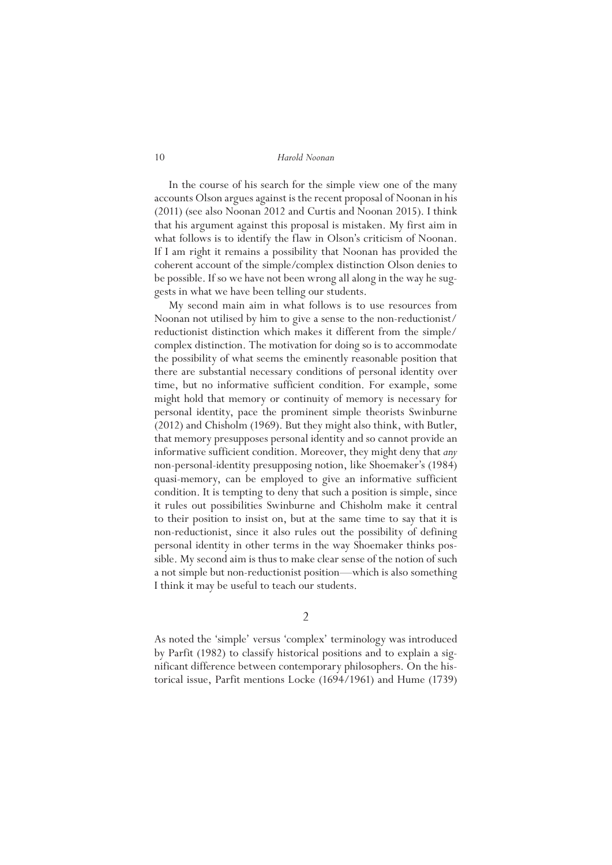In the course of his search for the simple view one of the many accounts Olson argues against is the recent proposal of Noonan in his (2011) (see also Noonan 2012 and Curtis and Noonan 2015). I think that his argument against this proposal is mistaken. My first aim in what follows is to identify the flaw in Olson's criticism of Noonan. If I am right it remains a possibility that Noonan has provided the coherent account of the simple/complex distinction Olson denies to be possible. If so we have not been wrong all along in the way he suggests in what we have been telling our students.

My second main aim in what follows is to use resources from Noonan not utilised by him to give a sense to the non-reductionist/ reductionist distinction which makes it different from the simple/ complex distinction. The motivation for doing so is to accommodate the possibility of what seems the eminently reasonable position that there are substantial necessary conditions of personal identity over time, but no informative sufficient condition. For example, some might hold that memory or continuity of memory is necessary for personal identity, pace the prominent simple theorists Swinburne (2012) and Chisholm (1969). But they might also think, with Butler, that memory presupposes personal identity and so cannot provide an informative sufficient condition. Moreover, they might deny that *any* non-personal-identity presupposing notion, like Shoemaker's (1984) quasi-memory, can be employed to give an informative sufficient condition. It is tempting to deny that such a position is simple, since it rules out possibilities Swinburne and Chisholm make it central to their position to insist on, but at the same time to say that it is non-reductionist, since it also rules out the possibility of defining personal identity in other terms in the way Shoemaker thinks possible. My second aim is thus to make clear sense of the notion of such a not simple but non-reductionist position—which is also something I think it may be useful to teach our students.

2

As noted the 'simple' versus 'complex' terminology was introduced by Parfit (1982) to classify historical positions and to explain a significant difference between contemporary philosophers. On the historical issue, Parfit mentions Locke (1694/1961) and Hume (1739)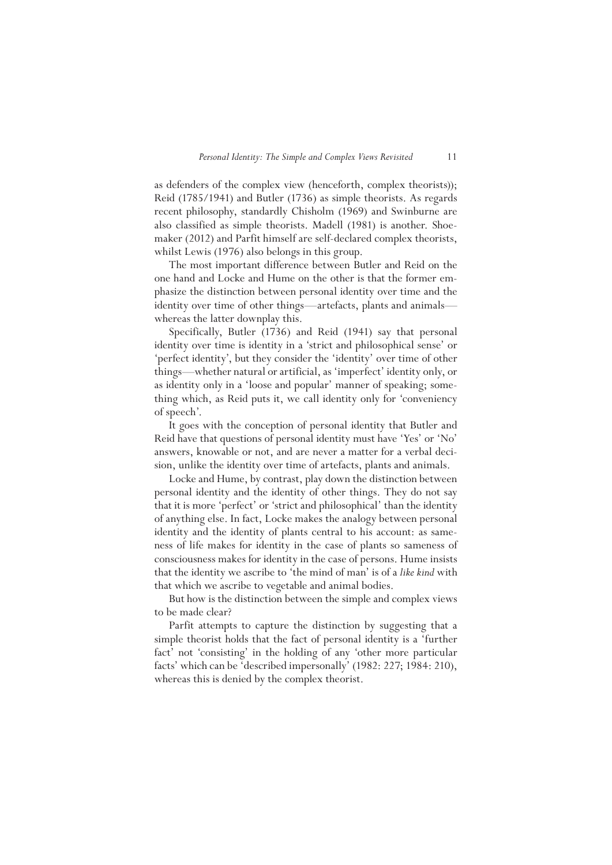as defenders of the complex view (henceforth, complex theorists)); Reid (1785/1941) and Butler (1736) as simple theorists. As regards recent philosophy, standardly Chisholm (1969) and Swinburne are also classified as simple theorists. Madell (1981) is another. Shoemaker (2012) and Parfit himself are self-declared complex theorists, whilst Lewis (1976) also belongs in this group.

The most important difference between Butler and Reid on the one hand and Locke and Hume on the other is that the former emphasize the distinction between personal identity over time and the identity over time of other things—artefacts, plants and animals whereas the latter downplay this.

Specifically, Butler (1736) and Reid (1941) say that personal identity over time is identity in a 'strict and philosophical sense' or 'perfect identity', but they consider the 'identity' over time of other things—whether natural or artificial, as 'imperfect' identity only, or as identity only in a 'loose and popular' manner of speaking; something which, as Reid puts it, we call identity only for 'conveniency of speech'.

It goes with the conception of personal identity that Butler and Reid have that questions of personal identity must have 'Yes' or 'No' answers, knowable or not, and are never a matter for a verbal decision, unlike the identity over time of artefacts, plants and animals.

Locke and Hume, by contrast, play down the distinction between personal identity and the identity of other things. They do not say that it is more 'perfect' or 'strict and philosophical' than the identity of anything else. In fact, Locke makes the analogy between personal identity and the identity of plants central to his account: as sameness of life makes for identity in the case of plants so sameness of consciousness makes for identity in the case of persons. Hume insists that the identity we ascribe to 'the mind of man' is of a *like kind* with that which we ascribe to vegetable and animal bodies.

But how is the distinction between the simple and complex views to be made clear?

Parfit attempts to capture the distinction by suggesting that a simple theorist holds that the fact of personal identity is a 'further fact' not 'consisting' in the holding of any 'other more particular facts' which can be 'described impersonally' (1982: 227; 1984: 210), whereas this is denied by the complex theorist.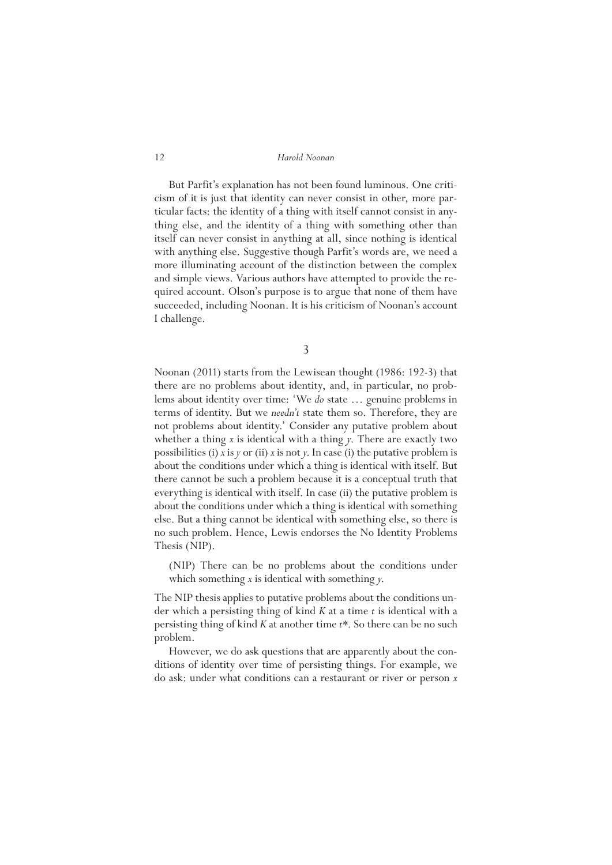But Parfit's explanation has not been found luminous. One criticism of it is just that identity can never consist in other, more particular facts: the identity of a thing with itself cannot consist in anything else, and the identity of a thing with something other than itself can never consist in anything at all, since nothing is identical with anything else. Suggestive though Parfit's words are, we need a more illuminating account of the distinction between the complex and simple views. Various authors have attempted to provide the required account. Olson's purpose is to argue that none of them have succeeded, including Noonan. It is his criticism of Noonan's account I challenge.

3

Noonan (2011) starts from the Lewisean thought (1986: 192-3) that there are no problems about identity, and, in particular, no problems about identity over time: 'We *do* state … genuine problems in terms of identity. But we *needn't* state them so. Therefore, they are not problems about identity.' Consider any putative problem about whether a thing *x* is identical with a thing *y*. There are exactly two possibilities (i) *x* is *y* or (ii) *x* is not *y*. In case (i) the putative problem is about the conditions under which a thing is identical with itself. But there cannot be such a problem because it is a conceptual truth that everything is identical with itself. In case (ii) the putative problem is about the conditions under which a thing is identical with something else. But a thing cannot be identical with something else, so there is no such problem. Hence, Lewis endorses the No Identity Problems Thesis (NIP).

(NIP) There can be no problems about the conditions under which something *x* is identical with something *y*.

The NIP thesis applies to putative problems about the conditions under which a persisting thing of kind *K* at a time *t* is identical with a persisting thing of kind *K* at another time *t\**. So there can be no such problem.

However, we do ask questions that are apparently about the conditions of identity over time of persisting things. For example, we do ask: under what conditions can a restaurant or river or person *x*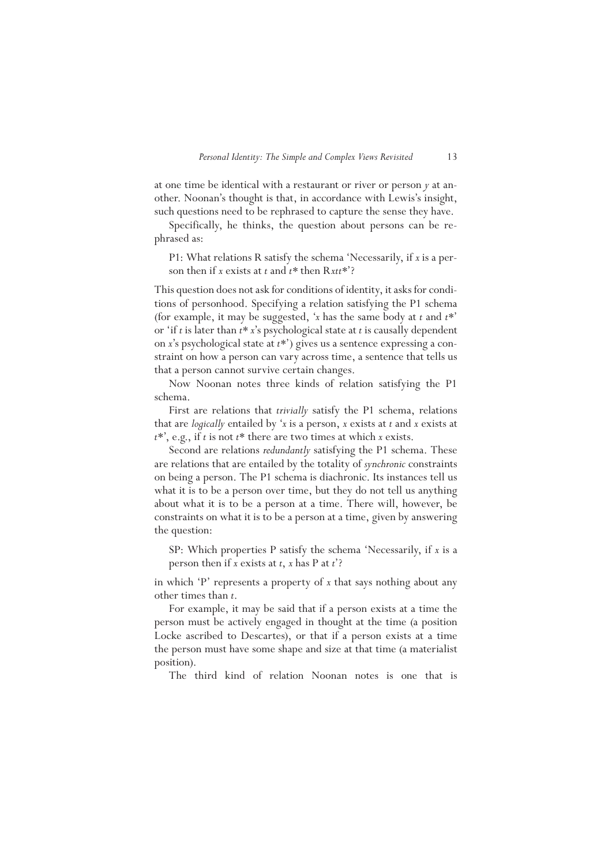at one time be identical with a restaurant or river or person *y* at another. Noonan's thought is that, in accordance with Lewis's insight, such questions need to be rephrased to capture the sense they have.

Specifically, he thinks, the question about persons can be rephrased as:

P1: What relations R satisfy the schema 'Necessarily, if *x* is a person then if *x* exists at *t* and *t\** then R*xtt\**'?

This question does not ask for conditions of identity, it asks for conditions of personhood. Specifying a relation satisfying the P1 schema (for example, it may be suggested, '*x* has the same body at *t* and *t\**' or 'if *t* is later than *t\* x*'s psychological state at *t* is causally dependent on *x*'s psychological state at *t\**') gives us a sentence expressing a constraint on how a person can vary across time, a sentence that tells us that a person cannot survive certain changes.

Now Noonan notes three kinds of relation satisfying the P1 schema.

First are relations that *trivially* satisfy the P1 schema, relations that are *logically* entailed by '*x* is a person, *x* exists at *t* and *x* exists at *t*\*', e.g., if *t* is not *t*\* there are two times at which *x* exists.

Second are relations *redundantly* satisfying the P1 schema. These are relations that are entailed by the totality of *synchronic* constraints on being a person. The P1 schema is diachronic. Its instances tell us what it is to be a person over time, but they do not tell us anything about what it is to be a person at a time. There will, however, be constraints on what it is to be a person at a time, given by answering the question:

SP: Which properties P satisfy the schema 'Necessarily, if *x* is a person then if *x* exists at *t*, *x* has P at *t*'?

in which 'P' represents a property of *x* that says nothing about any other times than *t*.

For example, it may be said that if a person exists at a time the person must be actively engaged in thought at the time (a position Locke ascribed to Descartes), or that if a person exists at a time the person must have some shape and size at that time (a materialist position).

The third kind of relation Noonan notes is one that is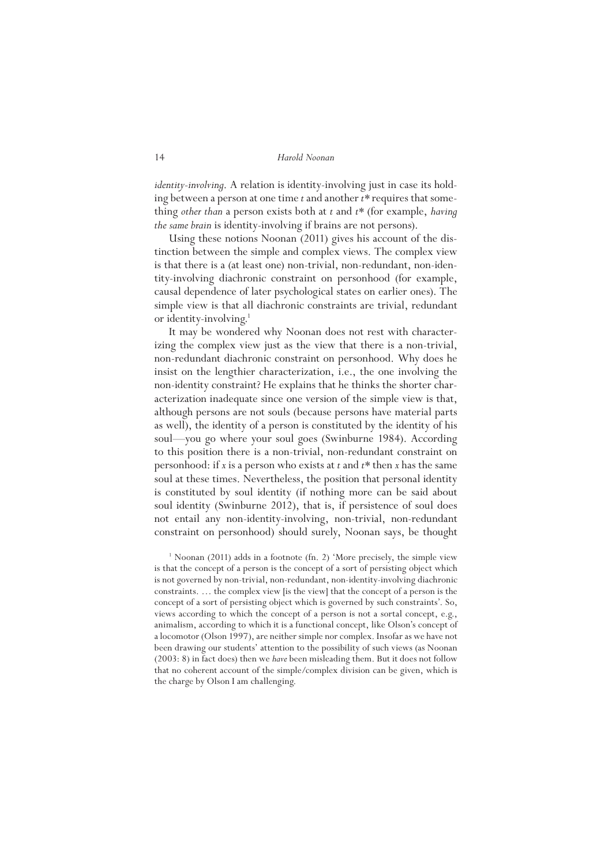*identity-involving*. A relation is identity-involving just in case its holding between a person at one time *t* and another *t\** requires that something *other than* a person exists both at *t* and *t\** (for example, *having the same brain* is identity-involving if brains are not persons).

Using these notions Noonan (2011) gives his account of the distinction between the simple and complex views. The complex view is that there is a (at least one) non-trivial, non-redundant, non-identity-involving diachronic constraint on personhood (for example, causal dependence of later psychological states on earlier ones). The simple view is that all diachronic constraints are trivial, redundant or identity-involving.<sup>1</sup>

It may be wondered why Noonan does not rest with characterizing the complex view just as the view that there is a non-trivial, non-redundant diachronic constraint on personhood. Why does he insist on the lengthier characterization, i.e., the one involving the non-identity constraint? He explains that he thinks the shorter characterization inadequate since one version of the simple view is that, although persons are not souls (because persons have material parts as well), the identity of a person is constituted by the identity of his soul—you go where your soul goes (Swinburne 1984). According to this position there is a non-trivial, non-redundant constraint on personhood: if *x* is a person who exists at *t* and *t\** then *x* has the same soul at these times. Nevertheless, the position that personal identity is constituted by soul identity (if nothing more can be said about soul identity (Swinburne 2012), that is, if persistence of soul does not entail any non-identity-involving, non-trivial, non-redundant constraint on personhood) should surely, Noonan says, be thought

<sup>1</sup> Noonan (2011) adds in a footnote (fn. 2) 'More precisely, the simple view is that the concept of a person is the concept of a sort of persisting object which is not governed by non-trivial, non-redundant, non-identity-involving diachronic constraints. … the complex view [is the view] that the concept of a person is the concept of a sort of persisting object which is governed by such constraints'. So, views according to which the concept of a person is not a sortal concept, e.g., animalism, according to which it is a functional concept, like Olson's concept of a locomotor (Olson 1997), are neither simple nor complex. Insofar as we have not been drawing our students' attention to the possibility of such views (as Noonan (2003: 8) in fact does) then we *have* been misleading them. But it does not follow that no coherent account of the simple/complex division can be given, which is the charge by Olson I am challenging.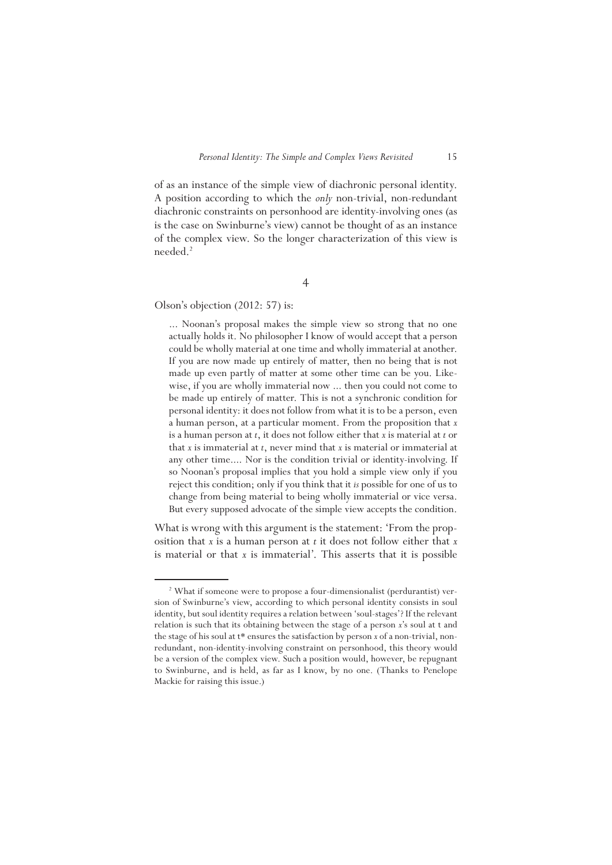of as an instance of the simple view of diachronic personal identity. A position according to which the *only* non-trivial, non-redundant diachronic constraints on personhood are identity-involving ones (as is the case on Swinburne's view) cannot be thought of as an instance of the complex view. So the longer characterization of this view is needed.2

4

Olson's objection (2012: 57) is:

... Noonan's proposal makes the simple view so strong that no one actually holds it. No philosopher I know of would accept that a person could be wholly material at one time and wholly immaterial at another. If you are now made up entirely of matter, then no being that is not made up even partly of matter at some other time can be you. Likewise, if you are wholly immaterial now ... then you could not come to be made up entirely of matter. This is not a synchronic condition for personal identity: it does not follow from what it is to be a person, even a human person, at a particular moment. From the proposition that *x*  is a human person at *t*, it does not follow either that *x* is material at *t* or that *x* is immaterial at *t*, never mind that *x* is material or immaterial at any other time.... Nor is the condition trivial or identity-involving. If so Noonan's proposal implies that you hold a simple view only if you reject this condition; only if you think that it *is* possible for one of us to change from being material to being wholly immaterial or vice versa. But every supposed advocate of the simple view accepts the condition.

What is wrong with this argument is the statement: 'From the proposition that *x* is a human person at *t* it does not follow either that *x*  is material or that *x* is immaterial'. This asserts that it is possible

<sup>&</sup>lt;sup>2</sup> What if someone were to propose a four-dimensionalist (perdurantist) version of Swinburne's view, according to which personal identity consists in soul identity, but soul identity requires a relation between 'soul-stages'? If the relevant relation is such that its obtaining between the stage of a person *x*'s soul at t and the stage of his soul at t\* ensures the satisfaction by person *x* of a non-trivial, nonredundant, non-identity-involving constraint on personhood, this theory would be a version of the complex view. Such a position would, however, be repugnant to Swinburne, and is held, as far as I know, by no one. (Thanks to Penelope Mackie for raising this issue.)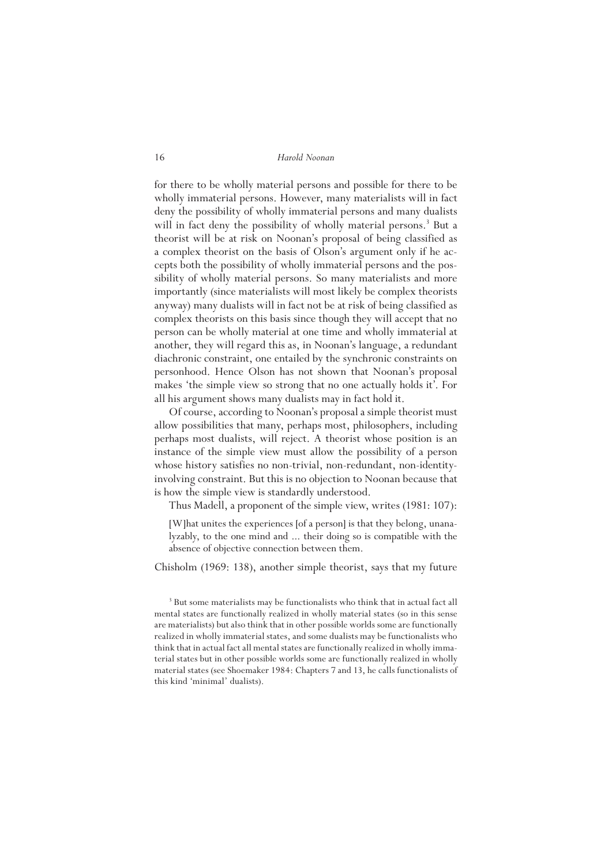for there to be wholly material persons and possible for there to be wholly immaterial persons. However, many materialists will in fact deny the possibility of wholly immaterial persons and many dualists will in fact deny the possibility of wholly material persons.<sup>3</sup> But a theorist will be at risk on Noonan's proposal of being classified as a complex theorist on the basis of Olson's argument only if he accepts both the possibility of wholly immaterial persons and the possibility of wholly material persons. So many materialists and more importantly (since materialists will most likely be complex theorists anyway) many dualists will in fact not be at risk of being classified as complex theorists on this basis since though they will accept that no person can be wholly material at one time and wholly immaterial at another, they will regard this as, in Noonan's language, a redundant diachronic constraint, one entailed by the synchronic constraints on personhood. Hence Olson has not shown that Noonan's proposal makes 'the simple view so strong that no one actually holds it'. For all his argument shows many dualists may in fact hold it.

Of course, according to Noonan's proposal a simple theorist must allow possibilities that many, perhaps most, philosophers, including perhaps most dualists, will reject. A theorist whose position is an instance of the simple view must allow the possibility of a person whose history satisfies no non-trivial, non-redundant, non-identityinvolving constraint. But this is no objection to Noonan because that is how the simple view is standardly understood.

Thus Madell, a proponent of the simple view, writes (1981: 107):

[W]hat unites the experiences [of a person] is that they belong, unanalyzably, to the one mind and ... their doing so is compatible with the absence of objective connection between them.

Chisholm (1969: 138), another simple theorist, says that my future

<sup>&</sup>lt;sup>3</sup> But some materialists may be functionalists who think that in actual fact all mental states are functionally realized in wholly material states (so in this sense are materialists) but also think that in other possible worlds some are functionally realized in wholly immaterial states, and some dualists may be functionalists who think that in actual fact all mental states are functionally realized in wholly immaterial states but in other possible worlds some are functionally realized in wholly material states (see Shoemaker 1984: Chapters 7 and 13, he calls functionalists of this kind 'minimal' dualists).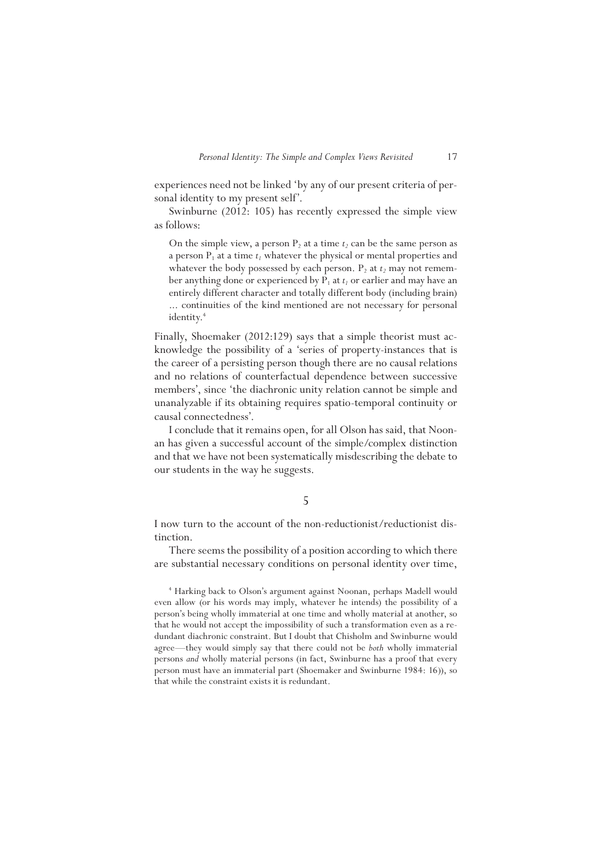experiences need not be linked 'by any of our present criteria of personal identity to my present self'.

Swinburne (2012: 105) has recently expressed the simple view as follows:

On the simple view, a person  $P_2$  at a time  $t_2$  can be the same person as a person  $P_1$  at a time  $t_i$  whatever the physical or mental properties and whatever the body possessed by each person.  $P_2$  at  $t_2$  may not remember anything done or experienced by  $P_1$  at  $t_1$  or earlier and may have an entirely different character and totally different body (including brain) ... continuities of the kind mentioned are not necessary for personal identity.<sup>4</sup>

Finally, Shoemaker (2012:129) says that a simple theorist must acknowledge the possibility of a 'series of property-instances that is the career of a persisting person though there are no causal relations and no relations of counterfactual dependence between successive members', since 'the diachronic unity relation cannot be simple and unanalyzable if its obtaining requires spatio-temporal continuity or causal connectedness'.

I conclude that it remains open, for all Olson has said, that Noonan has given a successful account of the simple/complex distinction and that we have not been systematically misdescribing the debate to our students in the way he suggests.

### 5

I now turn to the account of the non-reductionist/reductionist distinction.

There seems the possibility of a position according to which there are substantial necessary conditions on personal identity over time,

4 Harking back to Olson's argument against Noonan, perhaps Madell would even allow (or his words may imply, whatever he intends) the possibility of a person's being wholly immaterial at one time and wholly material at another, so that he would not accept the impossibility of such a transformation even as a redundant diachronic constraint. But I doubt that Chisholm and Swinburne would agree—they would simply say that there could not be *both* wholly immaterial persons *and* wholly material persons (in fact, Swinburne has a proof that every person must have an immaterial part (Shoemaker and Swinburne 1984: 16)), so that while the constraint exists it is redundant.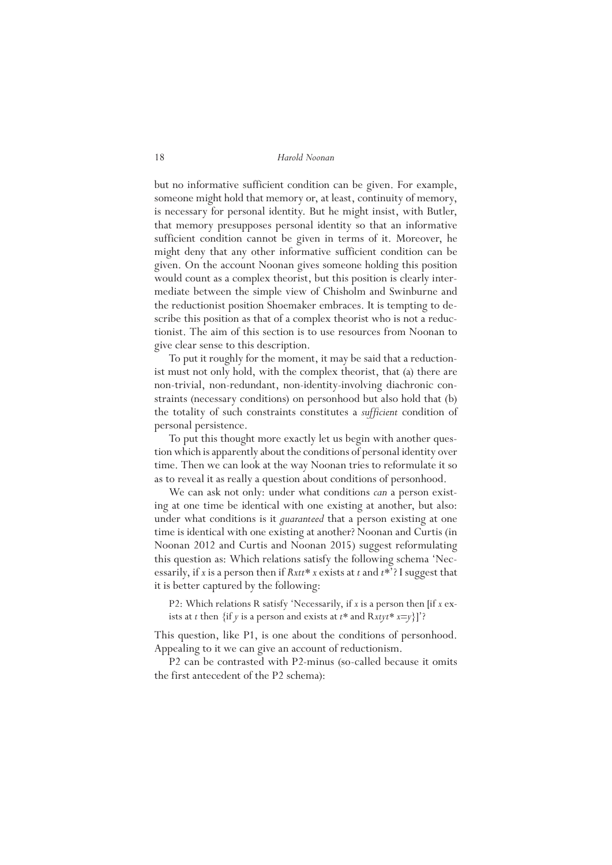but no informative sufficient condition can be given. For example, someone might hold that memory or, at least, continuity of memory, is necessary for personal identity. But he might insist, with Butler, that memory presupposes personal identity so that an informative sufficient condition cannot be given in terms of it. Moreover, he might deny that any other informative sufficient condition can be given. On the account Noonan gives someone holding this position would count as a complex theorist, but this position is clearly intermediate between the simple view of Chisholm and Swinburne and the reductionist position Shoemaker embraces. It is tempting to describe this position as that of a complex theorist who is not a reductionist. The aim of this section is to use resources from Noonan to give clear sense to this description.

To put it roughly for the moment, it may be said that a reductionist must not only hold, with the complex theorist, that (a) there are non-trivial, non-redundant, non-identity-involving diachronic constraints (necessary conditions) on personhood but also hold that (b) the totality of such constraints constitutes a *sufficient* condition of personal persistence.

To put this thought more exactly let us begin with another question which is apparently about the conditions of personal identity over time. Then we can look at the way Noonan tries to reformulate it so as to reveal it as really a question about conditions of personhood.

We can ask not only: under what conditions *can* a person existing at one time be identical with one existing at another, but also: under what conditions is it *guaranteed* that a person existing at one time is identical with one existing at another? Noonan and Curtis (in Noonan 2012 and Curtis and Noonan 2015) suggest reformulating this question as: Which relations satisfy the following schema 'Necessarily, if *x* is a person then if *Rxtt\* x* exists at *t* and *t\**'? I suggest that it is better captured by the following:

P2: Which relations R satisfy 'Necessarily, if *x* is a person then [if *x* exists at *t* then  $\{$ if *y* is a person and exists at *t*\* and  $R$ *xtyt*\*  $x=y\}$ ]?

This question, like P1, is one about the conditions of personhood. Appealing to it we can give an account of reductionism.

P2 can be contrasted with P2-minus (so-called because it omits the first antecedent of the P2 schema):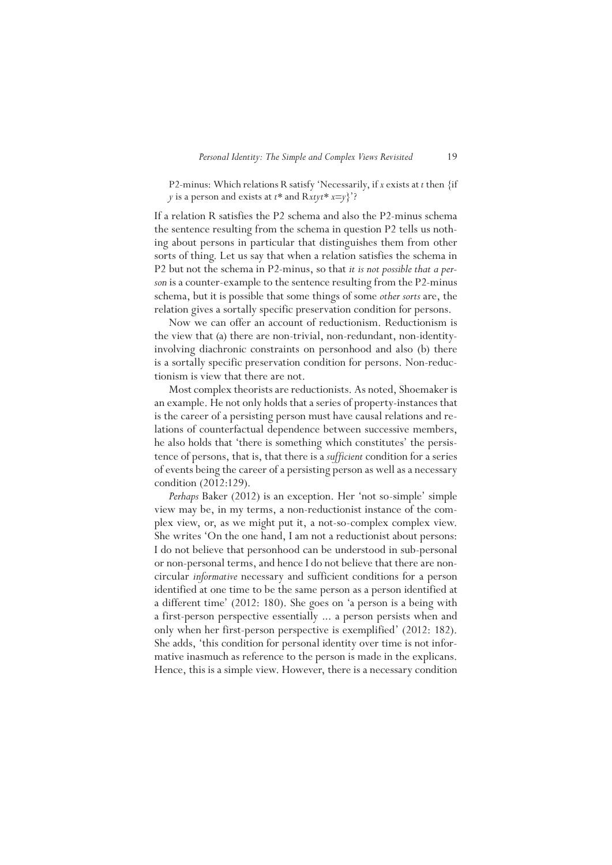P2-minus: Which relations R satisfy 'Necessarily, if *x* exists at *t* then {if *y* is a person and exists at *t\** and R*xtyt\* x*=*y*}'?

If a relation R satisfies the P2 schema and also the P2-minus schema the sentence resulting from the schema in question P2 tells us nothing about persons in particular that distinguishes them from other sorts of thing. Let us say that when a relation satisfies the schema in P2 but not the schema in P2-minus, so that *it is not possible that a person* is a counter-example to the sentence resulting from the P2-minus schema, but it is possible that some things of some *other sorts* are, the relation gives a sortally specific preservation condition for persons.

Now we can offer an account of reductionism. Reductionism is the view that (a) there are non-trivial, non-redundant, non-identityinvolving diachronic constraints on personhood and also (b) there is a sortally specific preservation condition for persons. Non-reductionism is view that there are not.

Most complex theorists are reductionists. As noted, Shoemaker is an example. He not only holds that a series of property-instances that is the career of a persisting person must have causal relations and relations of counterfactual dependence between successive members, he also holds that 'there is something which constitutes' the persistence of persons, that is, that there is a *sufficient* condition for a series of events being the career of a persisting person as well as a necessary condition (2012:129).

*Perhaps* Baker (2012) is an exception. Her 'not so-simple' simple view may be, in my terms, a non-reductionist instance of the complex view, or, as we might put it, a not-so-complex complex view. She writes 'On the one hand, I am not a reductionist about persons: I do not believe that personhood can be understood in sub-personal or non-personal terms, and hence I do not believe that there are noncircular *informative* necessary and sufficient conditions for a person identified at one time to be the same person as a person identified at a different time' (2012: 180). She goes on 'a person is a being with a first-person perspective essentially ... a person persists when and only when her first-person perspective is exemplified' (2012: 182). She adds, 'this condition for personal identity over time is not informative inasmuch as reference to the person is made in the explicans. Hence, this is a simple view. However, there is a necessary condition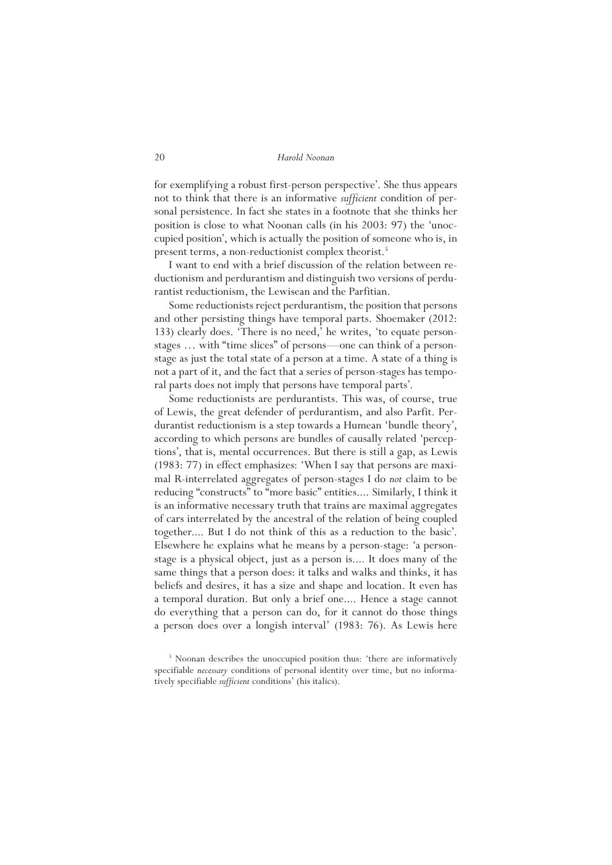for exemplifying a robust first-person perspective'. She thus appears not to think that there is an informative *sufficient* condition of personal persistence. In fact she states in a footnote that she thinks her position is close to what Noonan calls (in his 2003: 97) the 'unoccupied position', which is actually the position of someone who is, in present terms, a non-reductionist complex theorist.<sup>5</sup>

I want to end with a brief discussion of the relation between reductionism and perdurantism and distinguish two versions of perdurantist reductionism, the Lewisean and the Parfitian.

Some reductionists reject perdurantism, the position that persons and other persisting things have temporal parts. Shoemaker (2012: 133) clearly does. 'There is no need,' he writes, 'to equate personstages … with "time slices" of persons—one can think of a personstage as just the total state of a person at a time. A state of a thing is not a part of it, and the fact that a series of person-stages has temporal parts does not imply that persons have temporal parts'.

Some reductionists are perdurantists. This was, of course, true of Lewis, the great defender of perdurantism, and also Parfit. Perdurantist reductionism is a step towards a Humean 'bundle theory', according to which persons are bundles of causally related 'perceptions', that is, mental occurrences. But there is still a gap, as Lewis (1983: 77) in effect emphasizes: 'When I say that persons are maximal R-interrelated aggregates of person-stages I do *not* claim to be reducing "constructs" to "more basic" entities.... Similarly, I think it is an informative necessary truth that trains are maximal aggregates of cars interrelated by the ancestral of the relation of being coupled together.... But I do not think of this as a reduction to the basic'. Elsewhere he explains what he means by a person-stage: 'a personstage is a physical object, just as a person is.... It does many of the same things that a person does: it talks and walks and thinks, it has beliefs and desires, it has a size and shape and location. It even has a temporal duration. But only a brief one.... Hence a stage cannot do everything that a person can do, for it cannot do those things a person does over a longish interval' (1983: 76). As Lewis here

<sup>&</sup>lt;sup>5</sup> Noonan describes the unoccupied position thus: 'there are informatively specifiable *necessary* conditions of personal identity over time, but no informatively specifiable *sufficient* conditions' (his italics).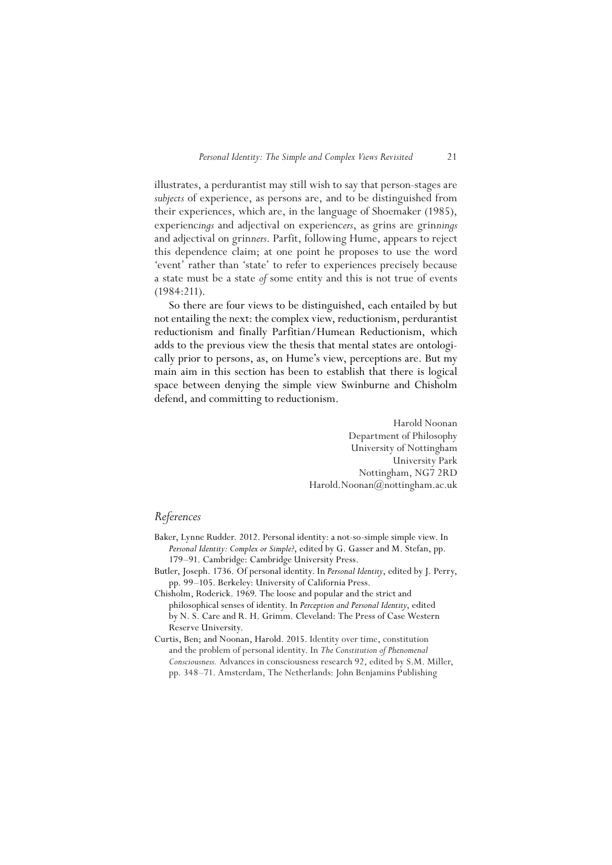illustrates, a perdurantist may still wish to say that person-stages are *subjects* of experience, as persons are, and to be distinguished from their experiences, which are, in the language of Shoemaker (1985), experienc*ings* and adjectival on experienc*ers*, as grins are grin*nings* and adjectival on grin*ners*. Parfit, following Hume, appears to reject this dependence claim; at one point he proposes to use the word 'event' rather than 'state' to refer to experiences precisely because a state must be a state *of* some entity and this is not true of events (1984:211).

So there are four views to be distinguished, each entailed by but not entailing the next: the complex view, reductionism, perdurantist reductionism and finally Parfitian/Humean Reductionism, which adds to the previous view the thesis that mental states are ontologically prior to persons, as, on Hume's view, perceptions are. But my main aim in this section has been to establish that there is logical space between denying the simple view Swinburne and Chisholm defend, and committing to reductionism.

> Harold Noonan Department of Philosophy University of Nottingham University Park Nottingham, NG7 2RD Harold.Noonan@nottingham.ac.uk

## *References*

- Baker, Lynne Rudder. 2012. Personal identity: a not-so-simple simple view. In *Personal Identity: Complex or Simple?*, edited by G. Gasser and M. Stefan, pp. 179–91. Cambridge: Cambridge University Press.
- Butler, Joseph. 1736. Of personal identity. In *Personal Identity*, edited by J. Perry, pp. 99–105. Berkeley: University of California Press.
- Chisholm, Roderick. 1969. The loose and popular and the strict and philosophical senses of identity. In *Perception and Personal Identity*, edited by N. S. Care and R. H. Grimm. Cleveland: The Press of Case Western Reserve University.
- Curtis, Ben; and Noonan, Harold. 2015. Identity over time, constitution and the problem of personal identity. In *The Constitution of Phenomenal Consciousness.* Advances in consciousness research 92, edited by S.M. Miller, pp. 348–71. Amsterdam, The Netherlands: John Benjamins Publishing